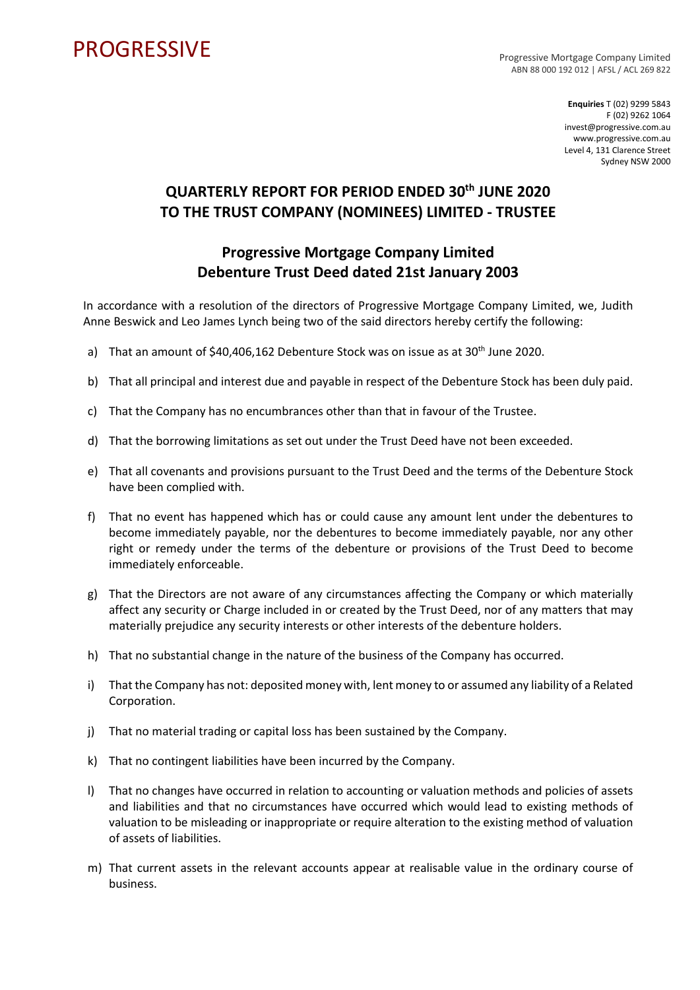## **PROGRESSIVE**

Progressive Mortgage Company Limited ABN 88 000 192 012 | AFSL / ACL 269 822

> **Enquiries** T (02) 9299 5843 F (02) 9262 1064 invest@progressive.com.au www.progressive.com.au Level 4, 131 Clarence Street Sydney NSW 2000

## **QUARTERLY REPORT FOR PERIOD ENDED 30th JUNE 2020 TO THE TRUST COMPANY (NOMINEES) LIMITED - TRUSTEE**

## **Progressive Mortgage Company Limited Debenture Trust Deed dated 21st January 2003**

In accordance with a resolution of the directors of Progressive Mortgage Company Limited, we, Judith Anne Beswick and Leo James Lynch being two of the said directors hereby certify the following:

- a) That an amount of \$40,406,162 Debenture Stock was on issue as at 30<sup>th</sup> June 2020.
- b) That all principal and interest due and payable in respect of the Debenture Stock has been duly paid.
- c) That the Company has no encumbrances other than that in favour of the Trustee.
- d) That the borrowing limitations as set out under the Trust Deed have not been exceeded.
- e) That all covenants and provisions pursuant to the Trust Deed and the terms of the Debenture Stock have been complied with.
- f) That no event has happened which has or could cause any amount lent under the debentures to become immediately payable, nor the debentures to become immediately payable, nor any other right or remedy under the terms of the debenture or provisions of the Trust Deed to become immediately enforceable.
- g) That the Directors are not aware of any circumstances affecting the Company or which materially affect any security or Charge included in or created by the Trust Deed, nor of any matters that may materially prejudice any security interests or other interests of the debenture holders.
- h) That no substantial change in the nature of the business of the Company has occurred.
- i) That the Company has not: deposited money with, lent money to or assumed any liability of a Related Corporation.
- j) That no material trading or capital loss has been sustained by the Company.
- k) That no contingent liabilities have been incurred by the Company.
- l) That no changes have occurred in relation to accounting or valuation methods and policies of assets and liabilities and that no circumstances have occurred which would lead to existing methods of valuation to be misleading or inappropriate or require alteration to the existing method of valuation of assets of liabilities.
- m) That current assets in the relevant accounts appear at realisable value in the ordinary course of business.